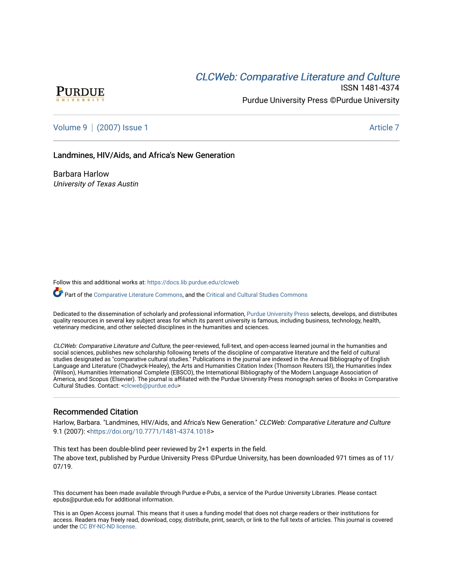# **CLCW[eb: Comparative Liter](https://docs.lib.purdue.edu/clcweb)ature and Culture**



ISSN 1481-4374 Purdue University Press ©Purdue University

[Volume 9](https://docs.lib.purdue.edu/clcweb/vol9) | [\(2007\) Issue 1](https://docs.lib.purdue.edu/clcweb/vol9/iss1) Article 7

### Landmines, HIV/Aids, and Africa's New Generation

Barbara Harlow University of Texas Austin

Follow this and additional works at: [https://docs.lib.purdue.edu/clcweb](https://docs.lib.purdue.edu/clcweb?utm_source=docs.lib.purdue.edu%2Fclcweb%2Fvol9%2Fiss1%2F7&utm_medium=PDF&utm_campaign=PDFCoverPages)

Part of the [Comparative Literature Commons,](http://network.bepress.com/hgg/discipline/454?utm_source=docs.lib.purdue.edu%2Fclcweb%2Fvol9%2Fiss1%2F7&utm_medium=PDF&utm_campaign=PDFCoverPages) and the Critical and Cultural Studies Commons

Dedicated to the dissemination of scholarly and professional information, [Purdue University Press](http://www.thepress.purdue.edu/) selects, develops, and distributes quality resources in several key subject areas for which its parent university is famous, including business, technology, health, veterinary medicine, and other selected disciplines in the humanities and sciences.

CLCWeb: Comparative Literature and Culture, the peer-reviewed, full-text, and open-access learned journal in the humanities and social sciences, publishes new scholarship following tenets of the discipline of comparative literature and the field of cultural studies designated as "comparative cultural studies." Publications in the journal are indexed in the Annual Bibliography of English Language and Literature (Chadwyck-Healey), the Arts and Humanities Citation Index (Thomson Reuters ISI), the Humanities Index (Wilson), Humanities International Complete (EBSCO), the International Bibliography of the Modern Language Association of America, and Scopus (Elsevier). The journal is affiliated with the Purdue University Press monograph series of Books in Comparative Cultural Studies. Contact: [<clcweb@purdue.edu](mailto:clcweb@purdue.edu)>

### Recommended Citation

Harlow, Barbara. "Landmines, HIV/Aids, and Africa's New Generation." CLCWeb: Comparative Literature and Culture 9.1 (2007): [<https://doi.org/10.7771/1481-4374.1018>](https://doi.org/10.7771/1481-4374.1018)

This text has been double-blind peer reviewed by 2+1 experts in the field. The above text, published by Purdue University Press ©Purdue University, has been downloaded 971 times as of 11/ 07/19.

This document has been made available through Purdue e-Pubs, a service of the Purdue University Libraries. Please contact epubs@purdue.edu for additional information.

This is an Open Access journal. This means that it uses a funding model that does not charge readers or their institutions for access. Readers may freely read, download, copy, distribute, print, search, or link to the full texts of articles. This journal is covered under the [CC BY-NC-ND license.](https://creativecommons.org/licenses/by-nc-nd/4.0/)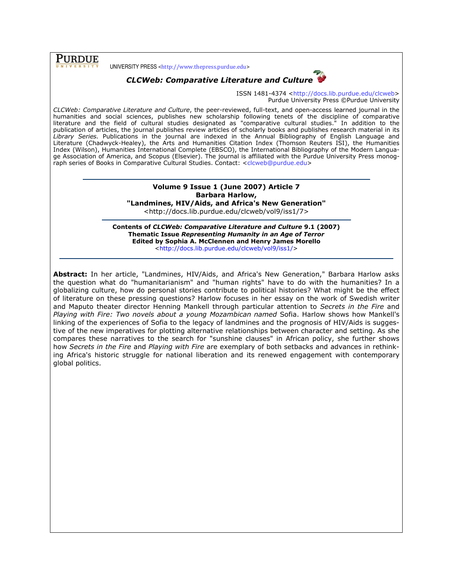**PURDUE** 

UNIVERSITY PRESS <http://www.thepress.purdue.edu>



ISSN 1481-4374 <http://docs.lib.purdue.edu/clcweb> Purdue University Press ©Purdue University

CLCWeb: Comparative Literature and Culture, the peer-reviewed, full-text, and open-access learned journal in the humanities and social sciences, publishes new scholarship following tenets of the discipline of comparative literature and the field of cultural studies designated as "comparative cultural studies." In addition to the publication of articles, the journal publishes review articles of scholarly books and publishes research material in its Library Series. Publications in the journal are indexed in the Annual Bibliography of English Language and Literature (Chadwyck-Healey), the Arts and Humanities Citation Index (Thomson Reuters ISI), the Humanities Index (Wilson), Humanities International Complete (EBSCO), the International Bibliography of the Modern Language Association of America, and Scopus (Elsevier). The journal is affiliated with the Purdue University Press monograph series of Books in Comparative Cultural Studies. Contact: <clcweb@purdue.edu>

## Volume 9 Issue 1 (June 2007) Article 7 Barbara Harlow, "Landmines, HIV/Aids, and Africa's New Generation"

<http://docs.lib.purdue.edu/clcweb/vol9/iss1/7>

Contents of CLCWeb: Comparative Literature and Culture 9.1 (2007) Thematic Issue Representing Humanity in an Age of Terror Edited by Sophia A. McClennen and Henry James Morello <http://docs.lib.purdue.edu/clcweb/vol9/iss1/>

Abstract: In her article, "Landmines, HIV/Aids, and Africa's New Generation," Barbara Harlow asks the question what do "humanitarianism" and "human rights" have to do with the humanities? In a globalizing culture, how do personal stories contribute to political histories? What might be the effect of literature on these pressing questions? Harlow focuses in her essay on the work of Swedish writer and Maputo theater director Henning Mankell through particular attention to Secrets in the Fire and Playing with Fire: Two novels about a young Mozambican named Sofia. Harlow shows how Mankell's linking of the experiences of Sofia to the legacy of landmines and the prognosis of HIV/Aids is suggestive of the new imperatives for plotting alternative relationships between character and setting. As she compares these narratives to the search for "sunshine clauses" in African policy, she further shows how Secrets in the Fire and Playing with Fire are exemplary of both setbacks and advances in rethinking Africa's historic struggle for national liberation and its renewed engagement with contemporary global politics.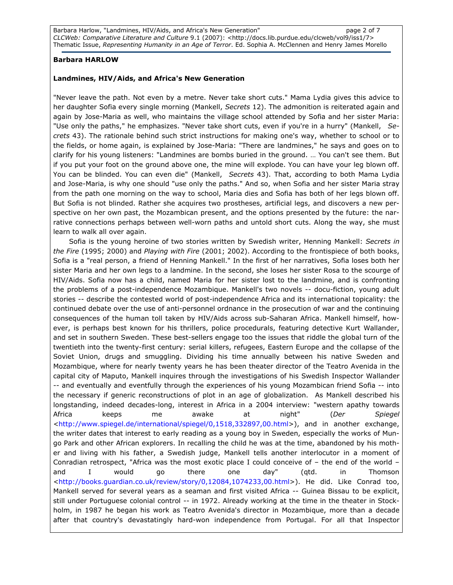Barbara Harlow, "Landmines, HIV/Aids, and Africa's New Generation" entitled that the page 2 of 7 CLCWeb: Comparative Literature and Culture 9.1 (2007): <http://docs.lib.purdue.edu/clcweb/vol9/iss1/7> Thematic Issue, Representing Humanity in an Age of Terror. Ed. Sophia A. McClennen and Henry James Morello

### Barbara HARLOW

### Landmines, HIV/Aids, and Africa's New Generation

"Never leave the path. Not even by a metre. Never take short cuts." Mama Lydia gives this advice to her daughter Sofia every single morning (Mankell, Secrets 12). The admonition is reiterated again and again by Jose-Maria as well, who maintains the village school attended by Sofia and her sister Maria: "Use only the paths," he emphasizes. "Never take short cuts, even if you're in a hurry" (Mankell, Secrets 43). The rationale behind such strict instructions for making one's way, whether to school or to the fields, or home again, is explained by Jose-Maria: "There are landmines," he says and goes on to clarify for his young listeners: "Landmines are bombs buried in the ground. … You can't see them. But if you put your foot on the ground above one, the mine will explode. You can have your leg blown off. You can be blinded. You can even die" (Mankell, Secrets 43). That, according to both Mama Lydia and Jose-Maria, is why one should "use only the paths." And so, when Sofia and her sister Maria stray from the path one morning on the way to school, Maria dies and Sofia has both of her legs blown off. But Sofia is not blinded. Rather she acquires two prostheses, artificial legs, and discovers a new perspective on her own past, the Mozambican present, and the options presented by the future: the narrative connections perhaps between well-worn paths and untold short cuts. Along the way, she must learn to walk all over again.

Sofia is the young heroine of two stories written by Swedish writer, Henning Mankell: Secrets in the Fire (1995; 2000) and Playing with Fire (2001; 2002). According to the frontispiece of both books, Sofia is a "real person, a friend of Henning Mankell." In the first of her narratives, Sofia loses both her sister Maria and her own legs to a landmine. In the second, she loses her sister Rosa to the scourge of HIV/Aids. Sofia now has a child, named Maria for her sister lost to the landmine, and is confronting the problems of a post-independence Mozambique. Mankell's two novels -- docu-fiction, young adult stories -- describe the contested world of post-independence Africa and its international topicality: the continued debate over the use of anti-personnel ordnance in the prosecution of war and the continuing consequences of the human toll taken by HIV/Aids across sub-Saharan Africa. Mankell himself, however, is perhaps best known for his thrillers, police procedurals, featuring detective Kurt Wallander, and set in southern Sweden. These best-sellers engage too the issues that riddle the global turn of the twentieth into the twenty-first century: serial killers, refugees, Eastern Europe and the collapse of the Soviet Union, drugs and smuggling. Dividing his time annually between his native Sweden and Mozambique, where for nearly twenty years he has been theater director of the Teatro Avenida in the capital city of Maputo, Mankell inquires through the investigations of his Swedish Inspector Wallander -- and eventually and eventfully through the experiences of his young Mozambican friend Sofia -- into the necessary if generic reconstructions of plot in an age of globalization. As Mankell described his longstanding, indeed decades-long, interest in Africa in a 2004 interview: "western apathy towards Africa keeps me awake at night" (*Der Spiegel* <http://www.spiegel.de/international/spiegel/0,1518,332897,00.html>), and in another exchange, the writer dates that interest to early reading as a young boy in Sweden, especially the works of Mungo Park and other African explorers. In recalling the child he was at the time, abandoned by his mother and living with his father, a Swedish judge, Mankell tells another interlocutor in a moment of Conradian retrospect, "Africa was the most exotic place I could conceive of – the end of the world – and I would go there one day" (qtd. in Thomson <http://books.guardian.co.uk/review/story/0,12084,1074233,00.html>). He did. Like Conrad too, Mankell served for several years as a seaman and first visited Africa -- Guinea Bissau to be explicit, still under Portuguese colonial control -- in 1972. Already working at the time in the theater in Stockholm, in 1987 he began his work as Teatro Avenida's director in Mozambique, more than a decade after that country's devastatingly hard-won independence from Portugal. For all that Inspector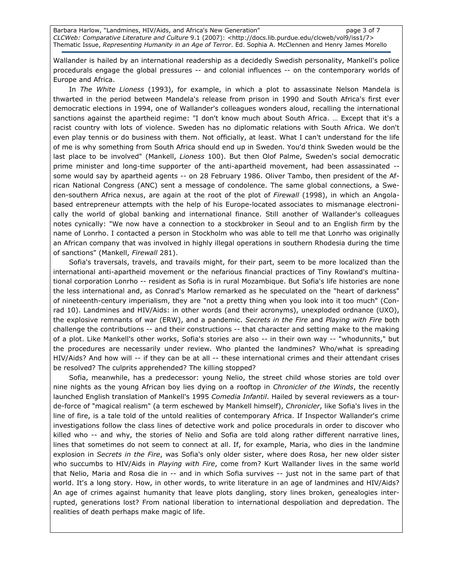Wallander is hailed by an international readership as a decidedly Swedish personality, Mankell's police procedurals engage the global pressures -- and colonial influences -- on the contemporary worlds of Europe and Africa.

In The White Lioness (1993), for example, in which a plot to assassinate Nelson Mandela is thwarted in the period between Mandela's release from prison in 1990 and South Africa's first ever democratic elections in 1994, one of Wallander's colleagues wonders aloud, recalling the international sanctions against the apartheid regime: "I don't know much about South Africa. … Except that it's a racist country with lots of violence. Sweden has no diplomatic relations with South Africa. We don't even play tennis or do business with them. Not officially, at least. What I can't understand for the life of me is why something from South Africa should end up in Sweden. You'd think Sweden would be the last place to be involved" (Mankell, Lioness 100). But then Olof Palme, Sweden's social democratic prime minister and long-time supporter of the anti-apartheid movement, had been assassinated - some would say by apartheid agents -- on 28 February 1986. Oliver Tambo, then president of the African National Congress (ANC) sent a message of condolence. The same global connections, a Sweden-southern Africa nexus, are again at the root of the plot of Firewall (1998), in which an Angolabased entrepreneur attempts with the help of his Europe-located associates to mismanage electronically the world of global banking and international finance. Still another of Wallander's colleagues notes cynically: "We now have a connection to a stockbroker in Seoul and to an English firm by the name of Lonrho. I contacted a person in Stockholm who was able to tell me that Lonrho was originally an African company that was involved in highly illegal operations in southern Rhodesia during the time of sanctions" (Mankell, Firewall 281).

Sofia's traversals, travels, and travails might, for their part, seem to be more localized than the international anti-apartheid movement or the nefarious financial practices of Tiny Rowland's multinational corporation Lonrho -- resident as Sofia is in rural Mozambique. But Sofia's life histories are none the less international and, as Conrad's Marlow remarked as he speculated on the "heart of darkness" of nineteenth-century imperialism, they are "not a pretty thing when you look into it too much" (Conrad 10). Landmines and HIV/Aids: in other words (and their acronyms), unexploded ordnance (UXO), the explosive remnants of war (ERW), and a pandemic. Secrets in the Fire and Playing with Fire both challenge the contributions -- and their constructions -- that character and setting make to the making of a plot. Like Mankell's other works, Sofia's stories are also -- in their own way -- "whodunnits," but the procedures are necessarily under review. Who planted the landmines? Who/what is spreading HIV/Aids? And how will -- if they can be at all -- these international crimes and their attendant crises be resolved? The culprits apprehended? The killing stopped?

Sofia, meanwhile, has a predecessor: young Nelio, the street child whose stories are told over nine nights as the young African boy lies dying on a rooftop in Chronicler of the Winds, the recently launched English translation of Mankell's 1995 Comedia Infantil. Hailed by several reviewers as a tourde-force of "magical realism" (a term eschewed by Mankell himself), Chronicler, like Sofia's lives in the line of fire, is a tale told of the untold realities of contemporary Africa. If Inspector Wallander's crime investigations follow the class lines of detective work and police procedurals in order to discover who killed who -- and why, the stories of Nelio and Sofia are told along rather different narrative lines, lines that sometimes do not seem to connect at all. If, for example, Maria, who dies in the landmine explosion in Secrets in the Fire, was Sofia's only older sister, where does Rosa, her new older sister who succumbs to HIV/Aids in Playing with Fire, come from? Kurt Wallander lives in the same world that Nelio, Maria and Rosa die in -- and in which Sofia survives -- just not in the same part of that world. It's a long story. How, in other words, to write literature in an age of landmines and HIV/Aids? An age of crimes against humanity that leave plots dangling, story lines broken, genealogies interrupted, generations lost? From national liberation to international despoliation and depredation. The realities of death perhaps make magic of life.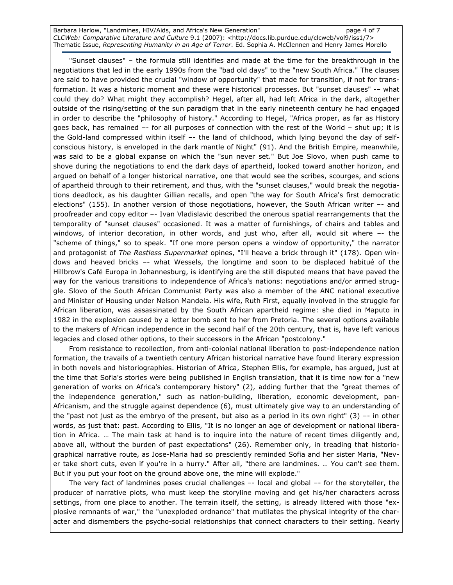Barbara Harlow, "Landmines, HIV/Aids, and Africa's New Generation" entitled that the page 4 of 7 CLCWeb: Comparative Literature and Culture 9.1 (2007): <http://docs.lib.purdue.edu/clcweb/vol9/iss1/7> Thematic Issue, Representing Humanity in an Age of Terror. Ed. Sophia A. McClennen and Henry James Morello

"Sunset clauses" – the formula still identifies and made at the time for the breakthrough in the negotiations that led in the early 1990s from the "bad old days" to the "new South Africa." The clauses are said to have provided the crucial "window of opportunity" that made for transition, if not for transformation. It was a historic moment and these were historical processes. But "sunset clauses" -– what could they do? What might they accomplish? Hegel, after all, had left Africa in the dark, altogether outside of the rising/setting of the sun paradigm that in the early nineteenth century he had engaged in order to describe the "philosophy of history." According to Hegel, "Africa proper, as far as History goes back, has remained –- for all purposes of connection with the rest of the World – shut up; it is the Gold-land compressed within itself –- the land of childhood, which lying beyond the day of selfconscious history, is enveloped in the dark mantle of Night" (91). And the British Empire, meanwhile, was said to be a global expanse on which the "sun never set." But Joe Slovo, when push came to shove during the negotiations to end the dark days of apartheid, looked toward another horizon, and argued on behalf of a longer historical narrative, one that would see the scribes, scourges, and scions of apartheid through to their retirement, and thus, with the "sunset clauses," would break the negotiations deadlock, as his daughter Gillian recalls, and open "the way for South Africa's first democratic elections" (155). In another version of those negotiations, however, the South African writer –- and proofreader and copy editor –- Ivan Vladislavic described the onerous spatial rearrangements that the temporality of "sunset clauses" occasioned. It was a matter of furnishings, of chairs and tables and windows, of interior decoration, in other words, and just who, after all, would sit where –- the "scheme of things," so to speak. "If one more person opens a window of opportunity," the narrator and protagonist of The Restless Supermarket opines, "I'll heave a brick through it" (178). Open windows and heaved bricks –- what Wessels, the longtime and soon to be displaced habitué of the Hillbrow's Café Europa in Johannesburg, is identifying are the still disputed means that have paved the way for the various transitions to independence of Africa's nations: negotiations and/or armed struggle. Slovo of the South African Communist Party was also a member of the ANC national executive and Minister of Housing under Nelson Mandela. His wife, Ruth First, equally involved in the struggle for African liberation, was assassinated by the South African apartheid regime: she died in Maputo in 1982 in the explosion caused by a letter bomb sent to her from Pretoria. The several options available to the makers of African independence in the second half of the 20th century, that is, have left various legacies and closed other options, to their successors in the African "postcolony."

From resistance to recollection, from anti-colonial national liberation to post-independence nation formation, the travails of a twentieth century African historical narrative have found literary expression in both novels and historiographies. Historian of Africa, Stephen Ellis, for example, has argued, just at the time that Sofia's stories were being published in English translation, that it is time now for a "new generation of works on Africa's contemporary history" (2), adding further that the "great themes of the independence generation," such as nation-building, liberation, economic development, pan-Africanism, and the struggle against dependence (6), must ultimately give way to an understanding of the "past not just as the embryo of the present, but also as a period in its own right"  $(3)$  -- in other words, as just that: past. According to Ellis, "It is no longer an age of development or national liberation in Africa. … The main task at hand is to inquire into the nature of recent times diligently and, above all, without the burden of past expectations" (26). Remember only, in treading that historiographical narrative route, as Jose-Maria had so presciently reminded Sofia and her sister Maria, "Never take short cuts, even if you're in a hurry." After all, "there are landmines. … You can't see them. But if you put your foot on the ground above one, the mine will explode."

The very fact of landmines poses crucial challenges –- local and global –- for the storyteller, the producer of narrative plots, who must keep the storyline moving and get his/her characters across settings, from one place to another. The terrain itself, the setting, is already littered with those "explosive remnants of war," the "unexploded ordnance" that mutilates the physical integrity of the character and dismembers the psycho-social relationships that connect characters to their setting. Nearly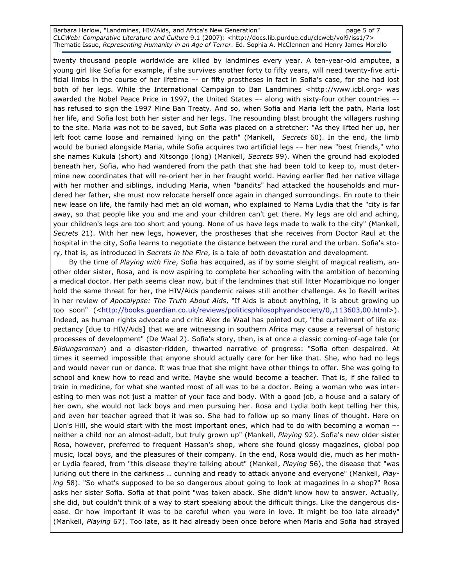Barbara Harlow, "Landmines, HIV/Aids, and Africa's New Generation" examples to the page 5 of 7 CLCWeb: Comparative Literature and Culture 9.1 (2007): <http://docs.lib.purdue.edu/clcweb/vol9/iss1/7> Thematic Issue, Representing Humanity in an Age of Terror. Ed. Sophia A. McClennen and Henry James Morello

twenty thousand people worldwide are killed by landmines every year. A ten-year-old amputee, a young girl like Sofia for example, if she survives another forty to fifty years, will need twenty-five artificial limbs in the course of her lifetime –- or fifty prostheses in fact in Sofia's case, for she had lost both of her legs. While the International Campaign to Ban Landmines <http://www.icbl.org> was awarded the Nobel Peace Price in 1997, the United States –- along with sixty-four other countries – has refused to sign the 1997 Mine Ban Treaty. And so, when Sofia and Maria left the path, Maria lost her life, and Sofia lost both her sister and her legs. The resounding blast brought the villagers rushing to the site. Maria was not to be saved, but Sofia was placed on a stretcher: "As they lifted her up, her left foot came loose and remained lying on the path" (Mankell, Secrets 60). In the end, the limb would be buried alongside Maria, while Sofia acquires two artificial legs -– her new "best friends," who she names Kukula (short) and Xitsongo (long) (Mankell, Secrets 99). When the ground had exploded beneath her, Sofia, who had wandered from the path that she had been told to keep to, must determine new coordinates that will re-orient her in her fraught world. Having earlier fled her native village with her mother and siblings, including Maria, when "bandits" had attacked the households and murdered her father, she must now relocate herself once again in changed surroundings. En route to their new lease on life, the family had met an old woman, who explained to Mama Lydia that the "city is far away, so that people like you and me and your children can't get there. My legs are old and aching, your children's legs are too short and young. None of us have legs made to walk to the city" (Mankell, Secrets 21). With her new legs, however, the prostheses that she receives from Doctor Raul at the hospital in the city, Sofia learns to negotiate the distance between the rural and the urban. Sofia's story, that is, as introduced in Secrets in the Fire, is a tale of both devastation and development.

By the time of Playing with Fire, Sofia has acquired, as if by some sleight of magical realism, another older sister, Rosa, and is now aspiring to complete her schooling with the ambition of becoming a medical doctor. Her path seems clear now, but if the landmines that still litter Mozambique no longer hold the same threat for her, the HIV/Aids pandemic raises still another challenge. As Jo Revill writes in her review of Apocalypse: The Truth About Aids, "If Aids is about anything, it is about growing up too soon" (<http://books.guardian.co.uk/reviews/politicsphilosophyandsociety/0,,113603,00.html>). Indeed, as human rights advocate and critic Alex de Waal has pointed out, "the curtailment of life expectancy [due to HIV/Aids] that we are witnessing in southern Africa may cause a reversal of historic processes of development" (De Waal 2). Sofia's story, then, is at once a classic coming-of-age tale (or Bildungsroman) and a disaster-ridden, thwarted narrative of progress: "Sofia often despaired. At times it seemed impossible that anyone should actually care for her like that. She, who had no legs and would never run or dance. It was true that she might have other things to offer. She was going to school and knew how to read and write. Maybe she would become a teacher. That is, if she failed to train in medicine, for what she wanted most of all was to be a doctor. Being a woman who was interesting to men was not just a matter of your face and body. With a good job, a house and a salary of her own, she would not lack boys and men pursuing her. Rosa and Lydia both kept telling her this, and even her teacher agreed that it was so. She had to follow up so many lines of thought. Here on Lion's Hill, she would start with the most important ones, which had to do with becoming a woman – neither a child nor an almost-adult, but truly grown up" (Mankell, Playing 92). Sofia's new older sister Rosa, however, preferred to frequent Hassan's shop, where she found glossy magazines, global pop music, local boys, and the pleasures of their company. In the end, Rosa would die, much as her mother Lydia feared, from "this disease they're talking about" (Mankell, *Playing* 56), the disease that "was lurking out there in the darkness ... cunning and ready to attack anyone and everyone" (Mankell, Playing 58). "So what's supposed to be so dangerous about going to look at magazines in a shop?" Rosa asks her sister Sofia. Sofia at that point "was taken aback. She didn't know how to answer. Actually, she did, but couldn't think of a way to start speaking about the difficult things. Like the dangerous disease. Or how important it was to be careful when you were in love. It might be too late already" (Mankell, Playing 67). Too late, as it had already been once before when Maria and Sofia had strayed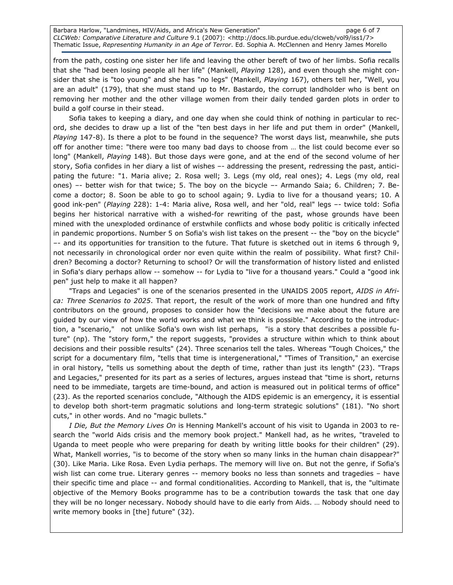Barbara Harlow, "Landmines, HIV/Aids, and Africa's New Generation" entitled that the page 6 of 7 CLCWeb: Comparative Literature and Culture 9.1 (2007): <http://docs.lib.purdue.edu/clcweb/vol9/iss1/7> Thematic Issue, Representing Humanity in an Age of Terror. Ed. Sophia A. McClennen and Henry James Morello

from the path, costing one sister her life and leaving the other bereft of two of her limbs. Sofia recalls that she "had been losing people all her life" (Mankell, Playing 128), and even though she might consider that she is "too young" and she has "no legs" (Mankell, Playing 167), others tell her, "Well, you are an adult" (179), that she must stand up to Mr. Bastardo, the corrupt landholder who is bent on removing her mother and the other village women from their daily tended garden plots in order to build a golf course in their stead.

Sofia takes to keeping a diary, and one day when she could think of nothing in particular to record, she decides to draw up a list of the "ten best days in her life and put them in order" (Mankell, Playing 147-8). Is there a plot to be found in the sequence? The worst days list, meanwhile, she puts off for another time: "there were too many bad days to choose from … the list could become ever so long" (Mankell, Playing 148). But those days were gone, and at the end of the second volume of her story, Sofia confides in her diary a list of wishes –- addressing the present, redressing the past, anticipating the future: "1. Maria alive; 2. Rosa well; 3. Legs (my old, real ones); 4. Legs (my old, real ones) –- better wish for that twice; 5. The boy on the bicycle –- Armando Saia; 6. Children; 7. Become a doctor; 8. Soon be able to go to school again; 9. Lydia to live for a thousand years; 10. A good ink-pen" (Playing 228): 1-4: Maria alive, Rosa well, and her "old, real" legs –- twice told: Sofia begins her historical narrative with a wished-for rewriting of the past, whose grounds have been mined with the unexploded ordinance of erstwhile conflicts and whose body politic is critically infected in pandemic proportions. Number 5 on Sofia's wish list takes on the present -- the "boy on the bicycle" –- and its opportunities for transition to the future. That future is sketched out in items 6 through 9, not necessarily in chronological order nor even quite within the realm of possibility. What first? Children? Becoming a doctor? Returning to school? Or will the transformation of history listed and enlisted in Sofia's diary perhaps allow -- somehow -- for Lydia to "live for a thousand years." Could a "good ink pen" just help to make it all happen?

"Traps and Legacies" is one of the scenarios presented in the UNAIDS 2005 report, AIDS in Africa: Three Scenarios to 2025. That report, the result of the work of more than one hundred and fifty contributors on the ground, proposes to consider how the "decisions we make about the future are guided by our view of how the world works and what we think is possible." According to the introduction, a "scenario," not unlike Sofia's own wish list perhaps, "is a story that describes a possible future" (np). The "story form," the report suggests, "provides a structure within which to think about decisions and their possible results" (24). Three scenarios tell the tales. Whereas "Tough Choices," the script for a documentary film, "tells that time is intergenerational," "Times of Transition," an exercise in oral history, "tells us something about the depth of time, rather than just its length" (23). "Traps and Legacies," presented for its part as a series of lectures, argues instead that "time is short, returns need to be immediate, targets are time-bound, and action is measured out in political terms of office" (23). As the reported scenarios conclude, "Although the AIDS epidemic is an emergency, it is essential to develop both short-term pragmatic solutions and long-term strategic solutions" (181). "No short cuts," in other words. And no "magic bullets."

I Die, But the Memory Lives On is Henning Mankell's account of his visit to Uganda in 2003 to research the "world Aids crisis and the memory book project." Mankell had, as he writes, "traveled to Uganda to meet people who were preparing for death by writing little books for their children" (29). What, Mankell worries, "is to become of the story when so many links in the human chain disappear?" (30). Like Maria. Like Rosa. Even Lydia perhaps. The memory will live on. But not the genre, if Sofia's wish list can come true. Literary genres -- memory books no less than sonnets and tragedies - have their specific time and place -- and formal conditionalities. According to Mankell, that is, the "ultimate objective of the Memory Books programme has to be a contribution towards the task that one day they will be no longer necessary. Nobody should have to die early from Aids. … Nobody should need to write memory books in [the] future" (32).